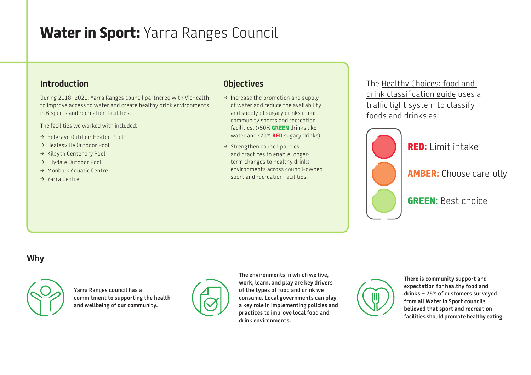# **Water in Sport:** Yarra Ranges Council

## **Introduction**

During 2018–2020, Yarra Ranges council partnered with VicHealth to improve access to water and create healthy drink environments in 6 sports and recreation facilities.

The facilities we worked with included:

- → Belgrave Outdoor Heated Pool
- $\rightarrow$  Healesville Outdoor Pool
- → Kilsyth Centenary Pool
- > Lilydale Outdoor Pool
- > Monbulk Aquatic Centre
- > Yarra Centre

## **Objectives**

- $\rightarrow$  Increase the promotion and supply of water and reduce the availability and supply of sugary drinks in our community sports and recreation facilities. (›50% **GREEN** drinks like water and ‹20% **RED** sugary drinks)
- $\rightarrow$  Strengthen council policies and practices to enable longerterm changes to healthy drinks environments across council-owned sport and recreation facilities.

The [Healthy Choices: food and](https://www2.health.vic.gov.au/public-health/preventive-health/nutrition/healthy-choices-for-retail-outlets-vending-machines-catering)  [drink classification guide](https://www2.health.vic.gov.au/public-health/preventive-health/nutrition/healthy-choices-for-retail-outlets-vending-machines-catering) uses a [traffic light system](https://heas.health.vic.gov.au/healthy-choices/guidelines/traffic-light-system) to classify foods and drinks as:



**RED:** Limit intake

**AMBER:** Choose carefully

**GREEN:** Best choice

#### **Why**



**Yarra Ranges council has a commitment to supporting the health and wellbeing of our community.**



**The environments in which we live, work, learn, and play are key drivers of the types of food and drink we consume. Local governments can play a key role in implementing policies and practices to improve local food and drink environments.**

**There is community support and expectation for healthy food and drinks – 75% of customers surveyed from all Water in Sport councils believed that sport and recreation facilities should promote healthy eating.**